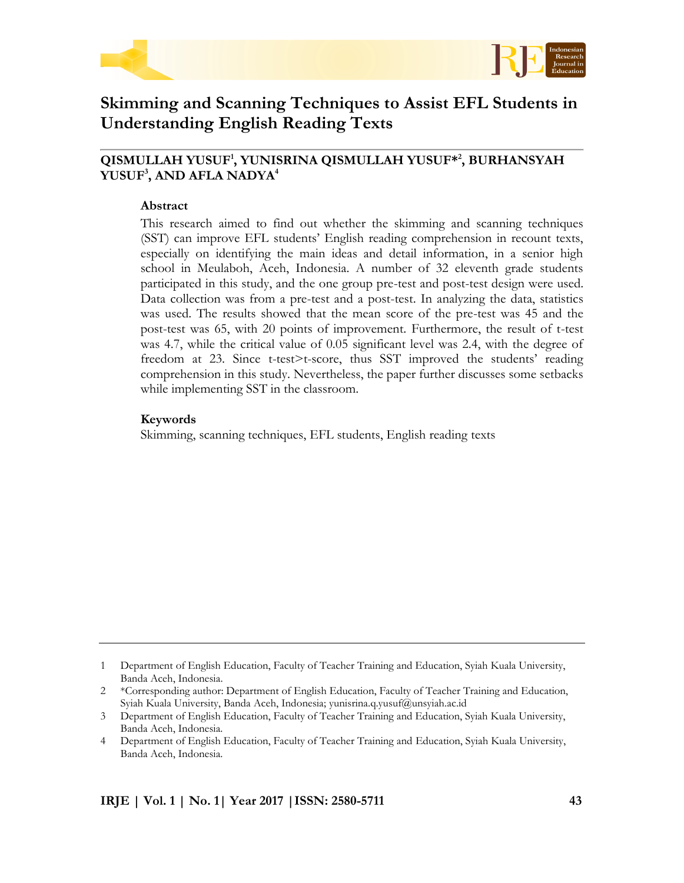



# **Skimming and Scanning Techniques to Assist EFL Students in Understanding English Reading Texts**

# **QISMULLAH YUSUF<sup>1</sup> , YUNISRINA QISMULLAH YUSUF\* 2 , BURHANSYAH YUSUF<sup>3</sup> , AND AFLA NADYA<sup>4</sup>**

#### **Abstract**

This research aimed to find out whether the skimming and scanning techniques (SST) can improve EFL students' English reading comprehension in recount texts, especially on identifying the main ideas and detail information, in a senior high school in Meulaboh, Aceh, Indonesia. A number of 32 eleventh grade students participated in this study, and the one group pre-test and post-test design were used. Data collection was from a pre-test and a post-test. In analyzing the data, statistics was used. The results showed that the mean score of the pre-test was 45 and the post-test was 65, with 20 points of improvement. Furthermore, the result of t-test was 4.7, while the critical value of 0.05 significant level was 2.4, with the degree of freedom at 23. Since t-test>t-score, thus SST improved the students' reading comprehension in this study. Nevertheless, the paper further discusses some setbacks while implementing SST in the classroom.

#### **Keywords**

Skimming, scanning techniques, EFL students, English reading texts

<sup>1</sup> Department of English Education, Faculty of Teacher Training and Education, Syiah Kuala University, Banda Aceh, Indonesia.

<sup>2</sup> \*Corresponding author: Department of English Education, Faculty of Teacher Training and Education, Syiah Kuala University, Banda Aceh, Indonesia; yunisrina.q.yusuf@unsyiah.ac.id

<sup>3</sup> Department of English Education, Faculty of Teacher Training and Education, Syiah Kuala University, Banda Aceh, Indonesia.

<sup>4</sup> Department of English Education, Faculty of Teacher Training and Education, Syiah Kuala University, Banda Aceh, Indonesia.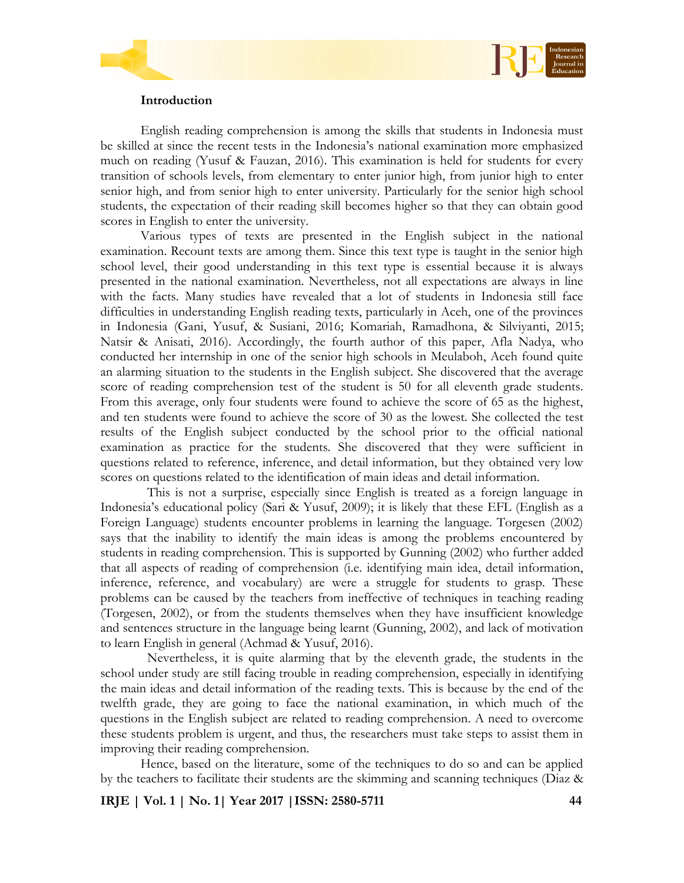

# **Introduction**

English reading comprehension is among the skills that students in Indonesia must be skilled at since the recent tests in the Indonesia's national examination more emphasized much on reading (Yusuf & Fauzan, 2016). This examination is held for students for every transition of schools levels, from elementary to enter junior high, from junior high to enter senior high, and from senior high to enter university. Particularly for the senior high school students, the expectation of their reading skill becomes higher so that they can obtain good scores in English to enter the university.

Various types of texts are presented in the English subject in the national examination. Recount texts are among them. Since this text type is taught in the senior high school level, their good understanding in this text type is essential because it is always presented in the national examination. Nevertheless, not all expectations are always in line with the facts. Many studies have revealed that a lot of students in Indonesia still face difficulties in understanding English reading texts, particularly in Aceh, one of the provinces in Indonesia (Gani, Yusuf, & Susiani, 2016; Komariah, Ramadhona, & Silviyanti, 2015; Natsir & Anisati, 2016). Accordingly, the fourth author of this paper, Afla Nadya, who conducted her internship in one of the senior high schools in Meulaboh, Aceh found quite an alarming situation to the students in the English subject. She discovered that the average score of reading comprehension test of the student is 50 for all eleventh grade students. From this average, only four students were found to achieve the score of 65 as the highest, and ten students were found to achieve the score of 30 as the lowest. She collected the test results of the English subject conducted by the school prior to the official national examination as practice for the students. She discovered that they were sufficient in questions related to reference, inference, and detail information, but they obtained very low scores on questions related to the identification of main ideas and detail information.

This is not a surprise, especially since English is treated as a foreign language in Indonesia's educational policy (Sari & Yusuf, 2009); it is likely that these EFL (English as a Foreign Language) students encounter problems in learning the language. Torgesen (2002) says that the inability to identify the main ideas is among the problems encountered by students in reading comprehension. This is supported by Gunning (2002) who further added that all aspects of reading of comprehension (i.e. identifying main idea, detail information, inference, reference, and vocabulary) are were a struggle for students to grasp. These problems can be caused by the teachers from ineffective of techniques in teaching reading (Torgesen, 2002), or from the students themselves when they have insufficient knowledge and sentences structure in the language being learnt (Gunning, 2002), and lack of motivation to learn English in general (Achmad & Yusuf, 2016).

Nevertheless, it is quite alarming that by the eleventh grade, the students in the school under study are still facing trouble in reading comprehension, especially in identifying the main ideas and detail information of the reading texts. This is because by the end of the twelfth grade, they are going to face the national examination, in which much of the questions in the English subject are related to reading comprehension. A need to overcome these students problem is urgent, and thus, the researchers must take steps to assist them in improving their reading comprehension.

Hence, based on the literature, some of the techniques to do so and can be applied by the teachers to facilitate their students are the skimming and scanning techniques (Diaz &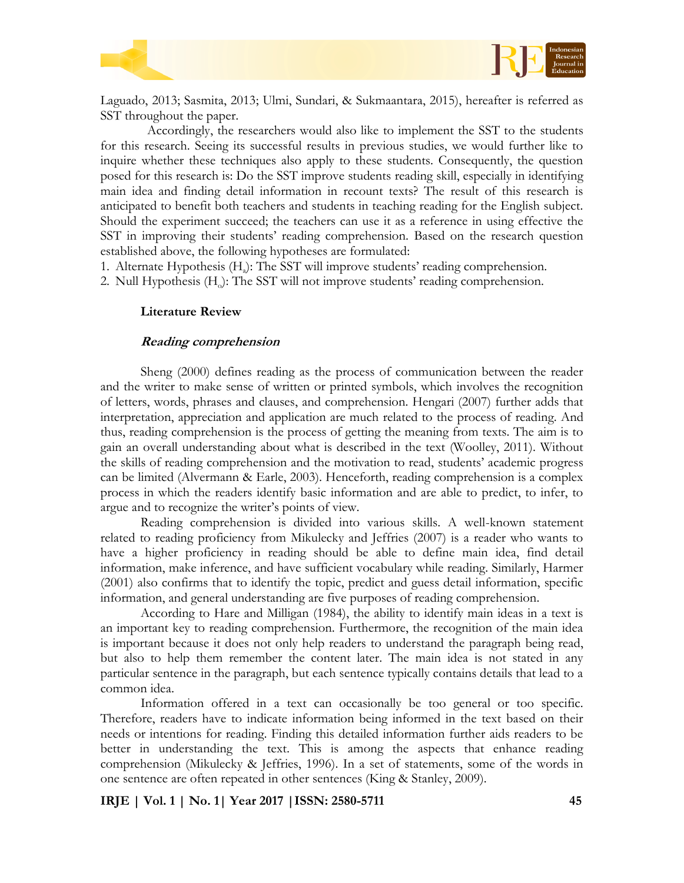

Laguado, 2013; Sasmita, 2013; Ulmi, Sundari, & Sukmaantara, 2015), hereafter is referred as SST throughout the paper.

Accordingly, the researchers would also like to implement the SST to the students for this research. Seeing its successful results in previous studies, we would further like to inquire whether these techniques also apply to these students. Consequently, the question posed for this research is: Do the SST improve students reading skill, especially in identifying main idea and finding detail information in recount texts? The result of this research is anticipated to benefit both teachers and students in teaching reading for the English subject. Should the experiment succeed; the teachers can use it as a reference in using effective the SST in improving their students' reading comprehension. Based on the research question established above, the following hypotheses are formulated:

1. Alternate Hypothesis (H<sub>a</sub>): The SST will improve students' reading comprehension.

2. Null Hypothesis (H<sub>o</sub>): The SST will not improve students' reading comprehension.

#### **Literature Review**

#### **Reading comprehension**

Sheng (2000) defines reading as the process of communication between the reader and the writer to make sense of written or printed symbols, which involves the recognition of letters, words, phrases and clauses, and comprehension. Hengari (2007) further adds that interpretation, appreciation and application are much related to the process of reading. And thus, reading comprehension is the process of getting the meaning from texts. The aim is to gain an overall understanding about what is described in the text (Woolley, 2011). Without the skills of reading comprehension and the motivation to read, students' academic progress can be limited (Alvermann & Earle, 2003). Henceforth, reading comprehension is a complex process in which the readers identify basic information and are able to predict, to infer, to argue and to recognize the writer's points of view.

Reading comprehension is divided into various skills. A well-known statement related to reading proficiency from Mikulecky and Jeffries (2007) is a reader who wants to have a higher proficiency in reading should be able to define main idea, find detail information, make inference, and have sufficient vocabulary while reading. Similarly, Harmer (2001) also confirms that to identify the topic, predict and guess detail information, specific information, and general understanding are five purposes of reading comprehension.

According to Hare and Milligan (1984), the ability to identify main ideas in a text is an important key to reading comprehension. Furthermore, the recognition of the main idea is important because it does not only help readers to understand the paragraph being read, but also to help them remember the content later. The main idea is not stated in any particular sentence in the paragraph, but each sentence typically contains details that lead to a common idea.

Information offered in a text can occasionally be too general or too specific. Therefore, readers have to indicate information being informed in the text based on their needs or intentions for reading. Finding this detailed information further aids readers to be better in understanding the text. This is among the aspects that enhance reading comprehension (Mikulecky & Jeffries, 1996). In a set of statements, some of the words in one sentence are often repeated in other sentences (King & Stanley, 2009).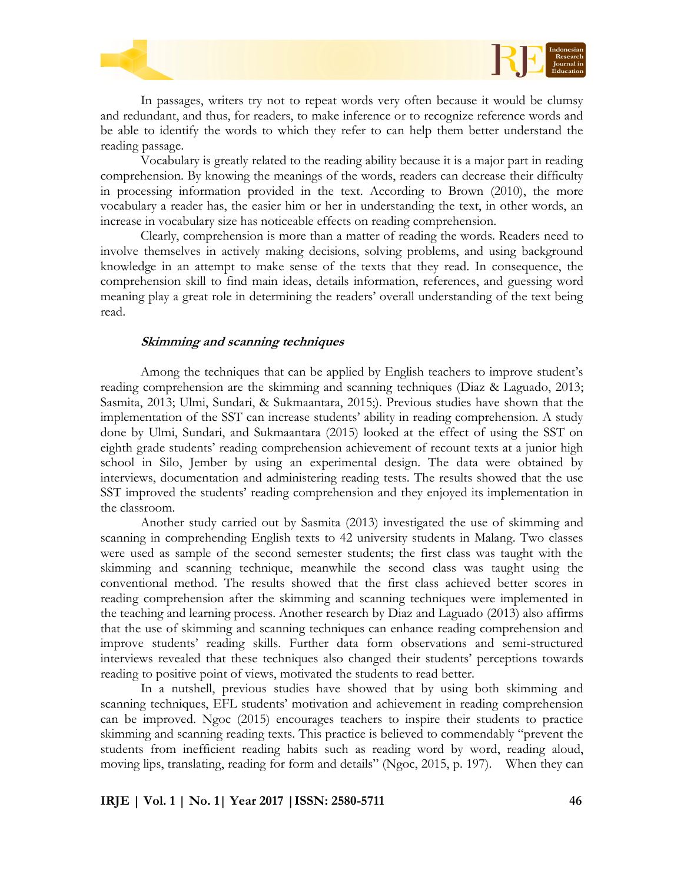



Vocabulary is greatly related to the reading ability because it is a major part in reading comprehension. By knowing the meanings of the words, readers can decrease their difficulty in processing information provided in the text. According to Brown (2010), the more vocabulary a reader has, the easier him or her in understanding the text, in other words, an increase in vocabulary size has noticeable effects on reading comprehension.

Clearly, comprehension is more than a matter of reading the words. Readers need to involve themselves in actively making decisions, solving problems, and using background knowledge in an attempt to make sense of the texts that they read. In consequence, the comprehension skill to find main ideas, details information, references, and guessing word meaning play a great role in determining the readers' overall understanding of the text being read.

#### **Skimming and scanning techniques**

Among the techniques that can be applied by English teachers to improve student's reading comprehension are the skimming and scanning techniques (Diaz & Laguado, 2013; Sasmita, 2013; Ulmi, Sundari, & Sukmaantara, 2015;). Previous studies have shown that the implementation of the SST can increase students' ability in reading comprehension. A study done by Ulmi, Sundari, and Sukmaantara (2015) looked at the effect of using the SST on eighth grade students' reading comprehension achievement of recount texts at a junior high school in Silo, Jember by using an experimental design. The data were obtained by interviews, documentation and administering reading tests. The results showed that the use SST improved the students' reading comprehension and they enjoyed its implementation in the classroom.

Another study carried out by Sasmita (2013) investigated the use of skimming and scanning in comprehending English texts to 42 university students in Malang. Two classes were used as sample of the second semester students; the first class was taught with the skimming and scanning technique, meanwhile the second class was taught using the conventional method. The results showed that the first class achieved better scores in reading comprehension after the skimming and scanning techniques were implemented in the teaching and learning process. Another research by Diaz and Laguado (2013) also affirms that the use of skimming and scanning techniques can enhance reading comprehension and improve students' reading skills. Further data form observations and semi-structured interviews revealed that these techniques also changed their students' perceptions towards reading to positive point of views, motivated the students to read better.

In a nutshell, previous studies have showed that by using both skimming and scanning techniques, EFL students' motivation and achievement in reading comprehension can be improved. Ngoc (2015) encourages teachers to inspire their students to practice skimming and scanning reading texts. This practice is believed to commendably "prevent the students from inefficient reading habits such as reading word by word, reading aloud, moving lips, translating, reading for form and details" (Ngoc, 2015, p. 197). When they can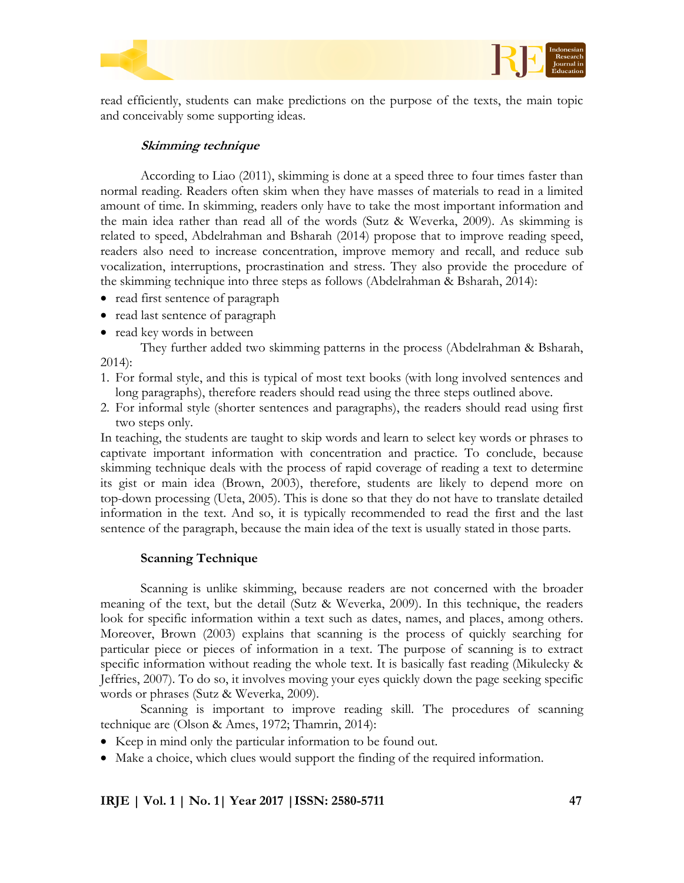



read efficiently, students can make predictions on the purpose of the texts, the main topic and conceivably some supporting ideas.

## **Skimming technique**

According to Liao (2011), skimming is done at a speed three to four times faster than normal reading. Readers often skim when they have masses of materials to read in a limited amount of time. In skimming, readers only have to take the most important information and the main idea rather than read all of the words (Sutz & Weverka, 2009). As skimming is related to speed, Abdelrahman and Bsharah (2014) propose that to improve reading speed, readers also need to increase concentration, improve memory and recall, and reduce sub vocalization, interruptions, procrastination and stress. They also provide the procedure of the skimming technique into three steps as follows (Abdelrahman & Bsharah, 2014):

- read first sentence of paragraph
- read last sentence of paragraph
- read key words in between

They further added two skimming patterns in the process (Abdelrahman & Bsharah, 2014):

- 1. For formal style, and this is typical of most text books (with long involved sentences and long paragraphs), therefore readers should read using the three steps outlined above.
- 2. For informal style (shorter sentences and paragraphs), the readers should read using first two steps only.

In teaching, the students are taught to skip words and learn to select key words or phrases to captivate important information with concentration and practice. To conclude, because skimming technique deals with the process of rapid coverage of reading a text to determine its gist or main idea (Brown, 2003), therefore, students are likely to depend more on top-down processing (Ueta, 2005). This is done so that they do not have to translate detailed information in the text. And so, it is typically recommended to read the first and the last sentence of the paragraph, because the main idea of the text is usually stated in those parts.

### **Scanning Technique**

Scanning is unlike skimming, because readers are not concerned with the broader meaning of the text, but the detail (Sutz & Weverka, 2009). In this technique, the readers look for specific information within a text such as dates, names, and places, among others. Moreover, Brown (2003) explains that scanning is the process of quickly searching for particular piece or pieces of information in a text. The purpose of scanning is to extract specific information without reading the whole text. It is basically fast reading (Mikulecky & Jeffries, 2007). To do so, it involves moving your eyes quickly down the page seeking specific words or phrases (Sutz & Weverka, 2009).

Scanning is important to improve reading skill. The procedures of scanning technique are (Olson & Ames, 1972; Thamrin, 2014):

- Keep in mind only the particular information to be found out.
- Make a choice, which clues would support the finding of the required information.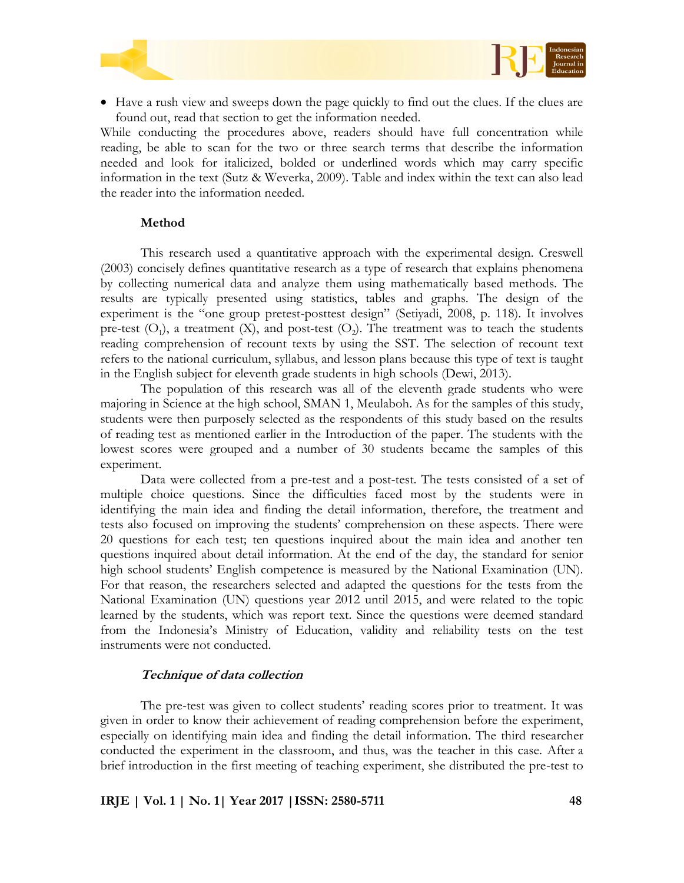



 Have a rush view and sweeps down the page quickly to find out the clues. If the clues are found out, read that section to get the information needed.

While conducting the procedures above, readers should have full concentration while reading, be able to scan for the two or three search terms that describe the information needed and look for italicized, bolded or underlined words which may carry specific information in the text (Sutz & Weverka, 2009). Table and index within the text can also lead the reader into the information needed.

#### **Method**

This research used a quantitative approach with the experimental design. Creswell (2003) concisely defines quantitative research as a type of research that explains phenomena by collecting numerical data and analyze them using mathematically based methods. The results are typically presented using statistics, tables and graphs. The design of the experiment is the "one group pretest-posttest design" (Setiyadi, 2008, p. 118). It involves pre-test  $(O_1)$ , a treatment  $(X)$ , and post-test  $(O_2)$ . The treatment was to teach the students reading comprehension of recount texts by using the SST. The selection of recount text refers to the national curriculum, syllabus, and lesson plans because this type of text is taught in the English subject for eleventh grade students in high schools (Dewi, 2013).

The population of this research was all of the eleventh grade students who were majoring in Science at the high school, SMAN 1, Meulaboh. As for the samples of this study, students were then purposely selected as the respondents of this study based on the results of reading test as mentioned earlier in the Introduction of the paper. The students with the lowest scores were grouped and a number of 30 students became the samples of this experiment.

Data were collected from a pre-test and a post-test. The tests consisted of a set of multiple choice questions. Since the difficulties faced most by the students were in identifying the main idea and finding the detail information, therefore, the treatment and tests also focused on improving the students' comprehension on these aspects. There were 20 questions for each test; ten questions inquired about the main idea and another ten questions inquired about detail information. At the end of the day, the standard for senior high school students' English competence is measured by the National Examination (UN). For that reason, the researchers selected and adapted the questions for the tests from the National Examination (UN) questions year 2012 until 2015, and were related to the topic learned by the students, which was report text. Since the questions were deemed standard from the Indonesia's Ministry of Education, validity and reliability tests on the test instruments were not conducted.

#### **Technique of data collection**

The pre-test was given to collect students' reading scores prior to treatment. It was given in order to know their achievement of reading comprehension before the experiment, especially on identifying main idea and finding the detail information. The third researcher conducted the experiment in the classroom, and thus, was the teacher in this case. After a brief introduction in the first meeting of teaching experiment, she distributed the pre-test to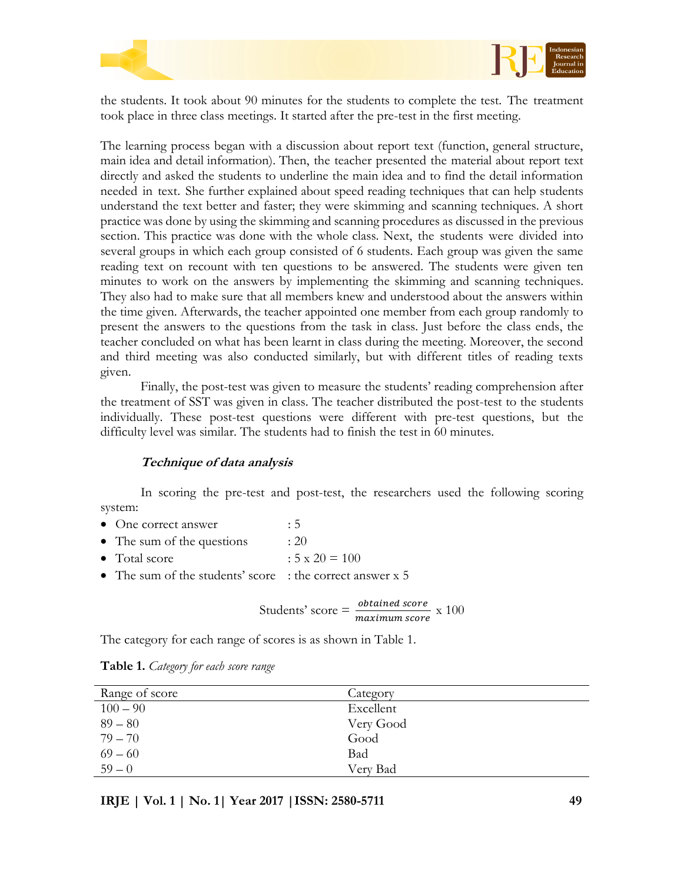



the students. It took about 90 minutes for the students to complete the test. The treatment took place in three class meetings. It started after the pre-test in the first meeting.

The learning process began with a discussion about report text (function, general structure, main idea and detail information). Then, the teacher presented the material about report text directly and asked the students to underline the main idea and to find the detail information needed in text. She further explained about speed reading techniques that can help students understand the text better and faster; they were skimming and scanning techniques. A short practice was done by using the skimming and scanning procedures as discussed in the previous section. This practice was done with the whole class. Next, the students were divided into several groups in which each group consisted of 6 students. Each group was given the same reading text on recount with ten questions to be answered. The students were given ten minutes to work on the answers by implementing the skimming and scanning techniques. They also had to make sure that all members knew and understood about the answers within the time given. Afterwards, the teacher appointed one member from each group randomly to present the answers to the questions from the task in class. Just before the class ends, the teacher concluded on what has been learnt in class during the meeting. Moreover, the second and third meeting was also conducted similarly, but with different titles of reading texts given.

Finally, the post-test was given to measure the students' reading comprehension after the treatment of SST was given in class. The teacher distributed the post-test to the students individually. These post-test questions were different with pre-test questions, but the difficulty level was similar. The students had to finish the test in 60 minutes.

### **Technique of data analysis**

In scoring the pre-test and post-test, the researchers used the following scoring system:

- One correct answer : 5
- The sum of the questions : 20
- Total score  $: 5 \times 20 = 100$
- The sum of the students' score : the correct answer x 5

Students' score = 
$$
\frac{obtained score}{maximum score} \times 100
$$

The category for each range of scores is as shown in Table 1.

| Range of score | Category  |
|----------------|-----------|
| $100 - 90$     | Excellent |
| $89 - 80$      | Very Good |
| $79 - 70$      | Good      |
| $69 - 60$      | Bad       |
| $59 - 0$       | Very Bad  |

**Table 1.** *Category for each score range*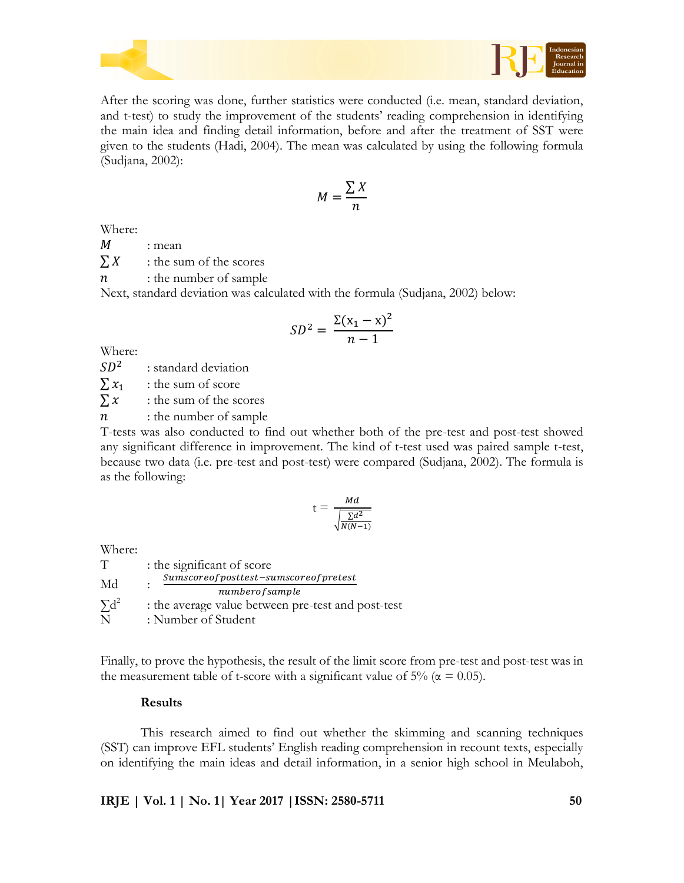

After the scoring was done, further statistics were conducted (i.e. mean, standard deviation, and t-test) to study the improvement of the students' reading comprehension in identifying the main idea and finding detail information, before and after the treatment of SST were given to the students (Hadi, 2004). The mean was calculated by using the following formula (Sudjana, 2002):

$$
M = \frac{\sum X}{n}
$$

Where:

 $M$  : mean

 $\sum X$  : the sum of the scores

 $n$  : the number of sample

Next, standard deviation was calculated with the formula (Sudjana, 2002) below:

$$
SD^2 = \frac{\Sigma(x_1 - x)^2}{n - 1}
$$

Where:

 $SD<sup>2</sup>$ : standard deviation

 $\sum x_1$  : the sum of score

 $\sum x$  : the sum of the scores

 $n$  : the number of sample

T-tests was also conducted to find out whether both of the pre-test and post-test showed any significant difference in improvement. The kind of t-test used was paired sample t-test, because two data (i.e. pre-test and post-test) were compared (Sudjana, 2002). The formula is as the following:

$$
t = \frac{Md}{\sqrt{\frac{\sum d^2}{N(N-1)}}}
$$

Where:

| T            | : the significant of score                         |
|--------------|----------------------------------------------------|
| Md           | Sumscoreofposttest-sumscoreofpretest               |
|              | numberofsample                                     |
| $\Sigma d^2$ | : the average value between pre-test and post-test |
| N            | : Number of Student                                |

Finally, to prove the hypothesis, the result of the limit score from pre-test and post-test was in the measurement table of t-score with a significant value of 5% ( $\alpha$  = 0.05).

# **Results**

This research aimed to find out whether the skimming and scanning techniques (SST) can improve EFL students' English reading comprehension in recount texts, especially on identifying the main ideas and detail information, in a senior high school in Meulaboh,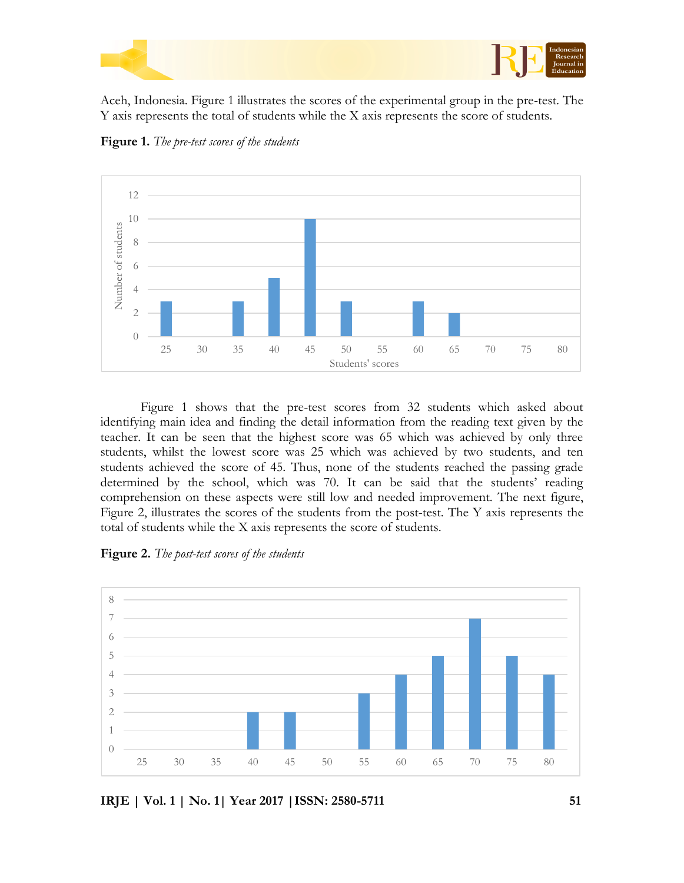

Aceh, Indonesia. Figure 1 illustrates the scores of the experimental group in the pre-test. The Y axis represents the total of students while the X axis represents the score of students.



**Figure 1.** *The pre-test scores of the students*

Figure 1 shows that the pre-test scores from 32 students which asked about identifying main idea and finding the detail information from the reading text given by the teacher. It can be seen that the highest score was 65 which was achieved by only three students, whilst the lowest score was 25 which was achieved by two students, and ten students achieved the score of 45. Thus, none of the students reached the passing grade determined by the school, which was 70. It can be said that the students' reading comprehension on these aspects were still low and needed improvement. The next figure, Figure 2, illustrates the scores of the students from the post-test. The Y axis represents the total of students while the X axis represents the score of students.

**Figure 2.** *The post-test scores of the students*

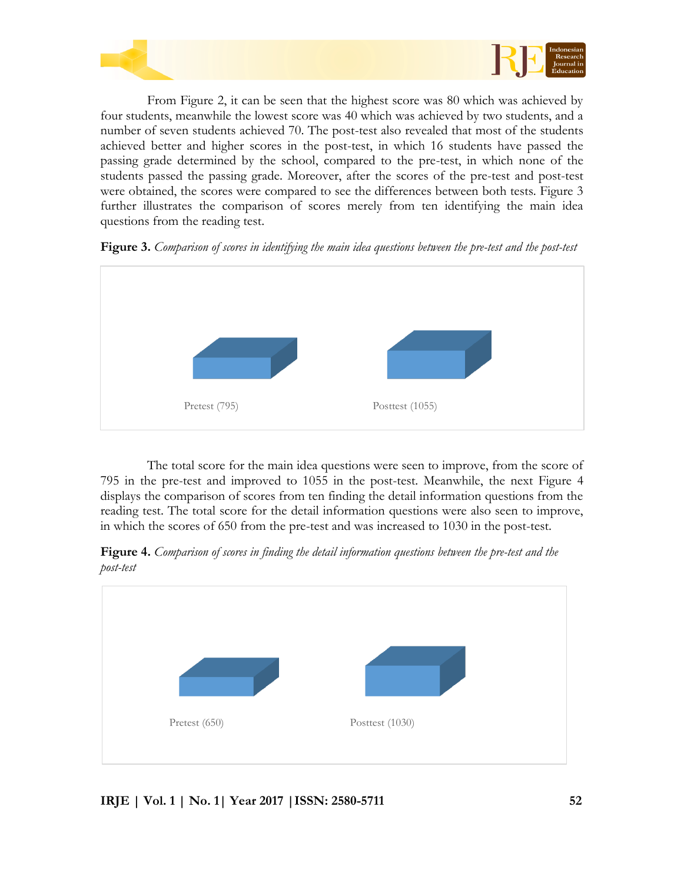

From Figure 2, it can be seen that the highest score was 80 which was achieved by four students, meanwhile the lowest score was 40 which was achieved by two students, and a number of seven students achieved 70. The post-test also revealed that most of the students achieved better and higher scores in the post-test, in which 16 students have passed the passing grade determined by the school, compared to the pre-test, in which none of the students passed the passing grade. Moreover, after the scores of the pre-test and post-test were obtained, the scores were compared to see the differences between both tests. Figure 3 further illustrates the comparison of scores merely from ten identifying the main idea questions from the reading test.





The total score for the main idea questions were seen to improve, from the score of 795 in the pre-test and improved to 1055 in the post-test. Meanwhile, the next Figure 4 displays the comparison of scores from ten finding the detail information questions from the reading test. The total score for the detail information questions were also seen to improve, in which the scores of 650 from the pre-test and was increased to 1030 in the post-test.

**Figure 4.** *Comparison of scores in finding the detail information questions between the pre-test and the post-test*

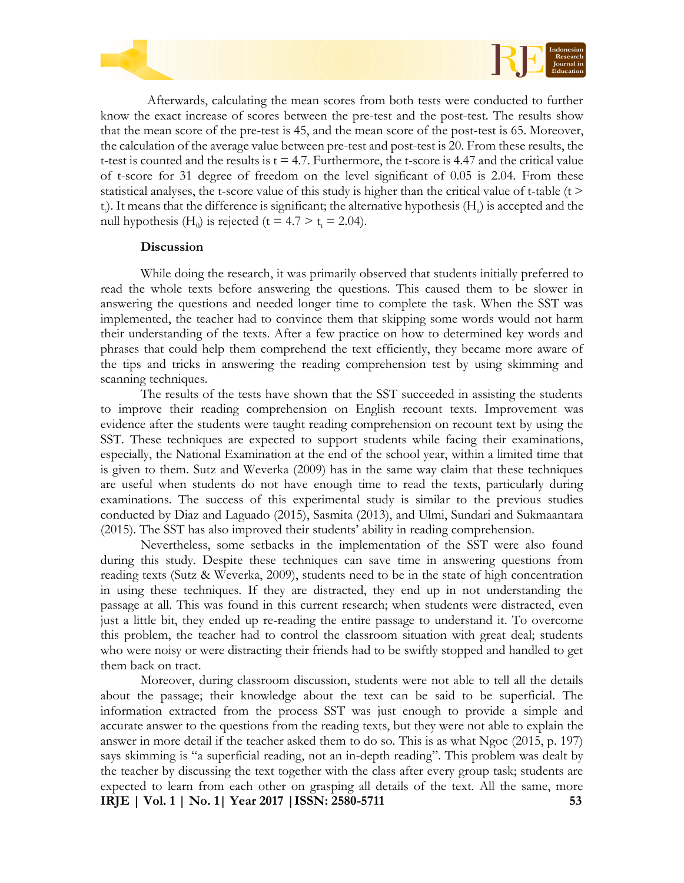



Afterwards, calculating the mean scores from both tests were conducted to further know the exact increase of scores between the pre-test and the post-test. The results show that the mean score of the pre-test is 45, and the mean score of the post-test is 65. Moreover, the calculation of the average value between pre-test and post-test is 20. From these results, the t-test is counted and the results is  $t = 4.7$ . Furthermore, the t-score is 4.47 and the critical value of t-score for 31 degree of freedom on the level significant of 0.05 is 2.04. From these statistical analyses, the t-score value of this study is higher than the critical value of t-table ( $t >$ t<sub>t</sub>). It means that the difference is significant; the alternative hypothesis (H<sub>a</sub>) is accepted and the null hypothesis (H<sub>0</sub>) is rejected (t = 4.7 > t<sub>t</sub> = 2.04).

#### **Discussion**

While doing the research, it was primarily observed that students initially preferred to read the whole texts before answering the questions. This caused them to be slower in answering the questions and needed longer time to complete the task. When the SST was implemented, the teacher had to convince them that skipping some words would not harm their understanding of the texts. After a few practice on how to determined key words and phrases that could help them comprehend the text efficiently, they became more aware of the tips and tricks in answering the reading comprehension test by using skimming and scanning techniques.

The results of the tests have shown that the SST succeeded in assisting the students to improve their reading comprehension on English recount texts. Improvement was evidence after the students were taught reading comprehension on recount text by using the SST. These techniques are expected to support students while facing their examinations, especially, the National Examination at the end of the school year, within a limited time that is given to them. Sutz and Weverka (2009) has in the same way claim that these techniques are useful when students do not have enough time to read the texts, particularly during examinations. The success of this experimental study is similar to the previous studies conducted by Diaz and Laguado (2015), Sasmita (2013), and Ulmi, Sundari and Sukmaantara (2015). The SST has also improved their students' ability in reading comprehension.

Nevertheless, some setbacks in the implementation of the SST were also found during this study. Despite these techniques can save time in answering questions from reading texts (Sutz & Weverka, 2009), students need to be in the state of high concentration in using these techniques. If they are distracted, they end up in not understanding the passage at all. This was found in this current research; when students were distracted, even just a little bit, they ended up re-reading the entire passage to understand it. To overcome this problem, the teacher had to control the classroom situation with great deal; students who were noisy or were distracting their friends had to be swiftly stopped and handled to get them back on tract.

**IRJE | Vol. 1 | No. 1| Year 2017 |ISSN: 2580-5711 53** Moreover, during classroom discussion, students were not able to tell all the details about the passage; their knowledge about the text can be said to be superficial. The information extracted from the process SST was just enough to provide a simple and accurate answer to the questions from the reading texts, but they were not able to explain the answer in more detail if the teacher asked them to do so. This is as what Ngoc (2015, p. 197) says skimming is "a superficial reading, not an in-depth reading". This problem was dealt by the teacher by discussing the text together with the class after every group task; students are expected to learn from each other on grasping all details of the text. All the same, more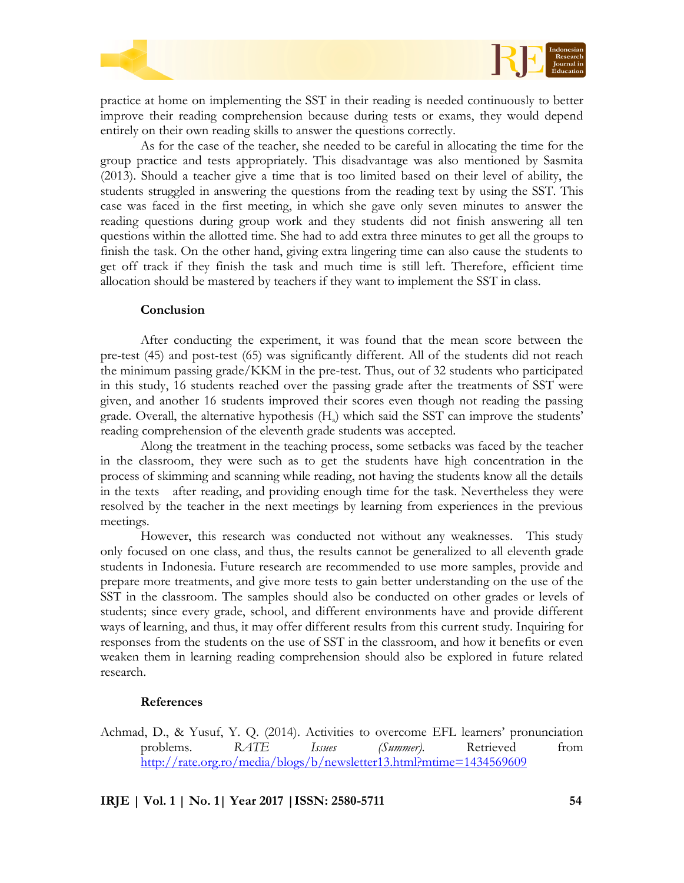

practice at home on implementing the SST in their reading is needed continuously to better improve their reading comprehension because during tests or exams, they would depend entirely on their own reading skills to answer the questions correctly.

As for the case of the teacher, she needed to be careful in allocating the time for the group practice and tests appropriately. This disadvantage was also mentioned by Sasmita (2013). Should a teacher give a time that is too limited based on their level of ability, the students struggled in answering the questions from the reading text by using the SST. This case was faced in the first meeting, in which she gave only seven minutes to answer the reading questions during group work and they students did not finish answering all ten questions within the allotted time. She had to add extra three minutes to get all the groups to finish the task. On the other hand, giving extra lingering time can also cause the students to get off track if they finish the task and much time is still left. Therefore, efficient time allocation should be mastered by teachers if they want to implement the SST in class.

### **Conclusion**

After conducting the experiment, it was found that the mean score between the pre-test (45) and post-test (65) was significantly different. All of the students did not reach the minimum passing grade/KKM in the pre-test. Thus, out of 32 students who participated in this study, 16 students reached over the passing grade after the treatments of SST were given, and another 16 students improved their scores even though not reading the passing grade. Overall, the alternative hypothesis (H<sub>a</sub>) which said the SST can improve the students' reading comprehension of the eleventh grade students was accepted.

Along the treatment in the teaching process, some setbacks was faced by the teacher in the classroom, they were such as to get the students have high concentration in the process of skimming and scanning while reading, not having the students know all the details in the texts after reading, and providing enough time for the task. Nevertheless they were resolved by the teacher in the next meetings by learning from experiences in the previous meetings.

However, this research was conducted not without any weaknesses. This study only focused on one class, and thus, the results cannot be generalized to all eleventh grade students in Indonesia. Future research are recommended to use more samples, provide and prepare more treatments, and give more tests to gain better understanding on the use of the SST in the classroom. The samples should also be conducted on other grades or levels of students; since every grade, school, and different environments have and provide different ways of learning, and thus, it may offer different results from this current study. Inquiring for responses from the students on the use of SST in the classroom, and how it benefits or even weaken them in learning reading comprehension should also be explored in future related research.

# **References**

Achmad, D., & Yusuf, Y. Q. (2014). Activities to overcome EFL learners' pronunciation problems. *RATE Issues (Summer)*. Retrieved from <http://rate.org.ro/media/blogs/b/newsletter13.html?mtime=1434569609>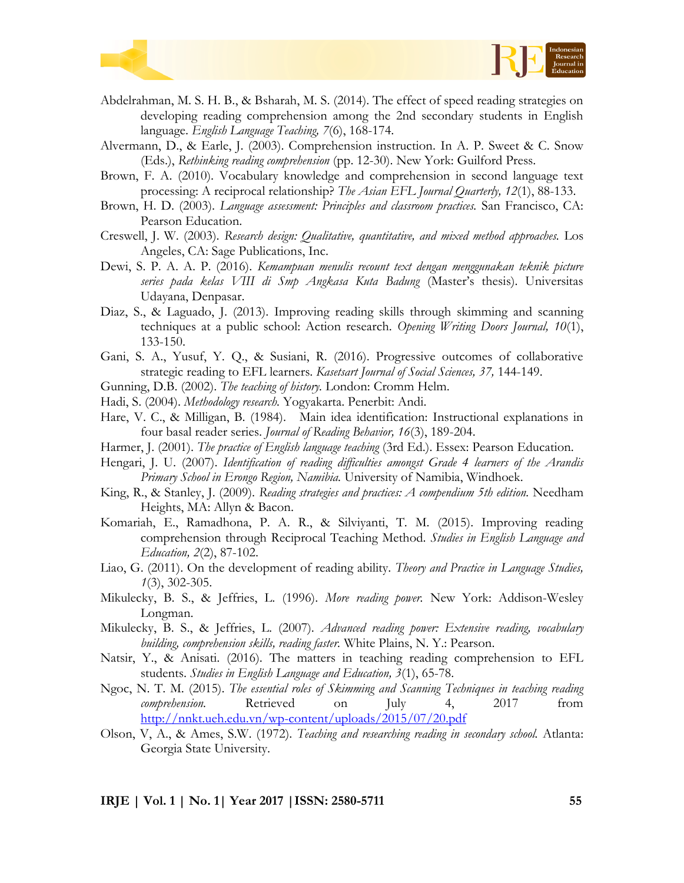



- Abdelrahman, M. S. H. B., & Bsharah, M. S. (2014). The effect of speed reading strategies on developing reading comprehension among the 2nd secondary students in English language. *English Language Teaching, 7*(6), 168-174.
- Alvermann, D., & Earle, J. (2003). Comprehension instruction. In A. P. Sweet & C. Snow (Eds.), *Rethinking reading comprehension* (pp. 12-30). New York: Guilford Press.
- Brown, F. A. (2010). Vocabulary knowledge and comprehension in second language text processing: A reciprocal relationship? *The Asian EFL Journal Quarterly, 12*(1), 88-133.
- Brown, H. D. (2003). *Language assessment: Principles and classroom practices.* San Francisco, CA: Pearson Education.
- Creswell, J. W. (2003). *Research design: Qualitative, quantitative, and mixed method approaches.* Los Angeles, CA: Sage Publications, Inc.
- Dewi, S. P. A. A. P. (2016). *Kemampuan menulis recount text dengan menggunakan teknik picture series pada kelas VIII di Smp Angkasa Kuta Badung* (Master's thesis). Universitas Udayana, Denpasar.
- Diaz, S., & Laguado, J. (2013). Improving reading skills through skimming and scanning techniques at a public school: Action research. *Opening Writing Doors Journal, 10*(1), 133-150.
- Gani, S. A., Yusuf, Y. Q., & Susiani, R. (2016). Progressive outcomes of collaborative strategic reading to EFL learners. *Kasetsart Journal of Social Sciences, 37,* 144-149.
- Gunning, D.B. (2002). *The teaching of history.* London: Cromm Helm.
- Hadi, S. (2004). *Methodology research.* Yogyakarta. Penerbit: Andi.
- Hare, V. C., & Milligan, B. (1984). Main idea identification: Instructional explanations in four basal reader series. *Journal of Reading Behavior, 16*(3), 189-204.
- Harmer, J. (2001). *The practice of English language teaching* (3rd Ed.). Essex: Pearson Education.
- Hengari, J. U. (2007). *Identification of reading difficulties amongst Grade 4 learners of the Arandis Primary School in Erongo Region, Namibia.* University of Namibia, Windhoek.
- King, R., & Stanley, J. (2009). *Reading strategies and practices: A compendium 5th edition.* Needham Heights, MA: Allyn & Bacon.
- Komariah, E., Ramadhona, P. A. R., & Silviyanti, T. M. (2015). Improving reading comprehension through Reciprocal Teaching Method. *Studies in English Language and Education, 2*(2), 87-102.
- Liao, G. (2011). On the development of reading ability. *Theory and Practice in Language Studies, 1*(3), 302-305.
- Mikulecky, B. S., & Jeffries, L. (1996). *More reading power.* New York: Addison-Wesley Longman.
- Mikulecky, B. S., & Jeffries, L. (2007). *Advanced reading power: Extensive reading, vocabulary building, comprehension skills, reading faster.* White Plains, N. Y.: Pearson.
- Natsir, Y., & Anisati. (2016). The matters in teaching reading comprehension to EFL students. *Studies in English Language and Education, 3*(1), 65-78.
- Ngoc, N. T. M. (2015). *The essential roles of Skimming and Scanning Techniques in teaching reading comprehension.* Retrieved on July 4, 2017 from <http://nnkt.ueh.edu.vn/wp-content/uploads/2015/07/20.pdf>
- Olson, V, A., & Ames, S.W. (1972). *Teaching and researching reading in secondary school.* Atlanta: Georgia State University.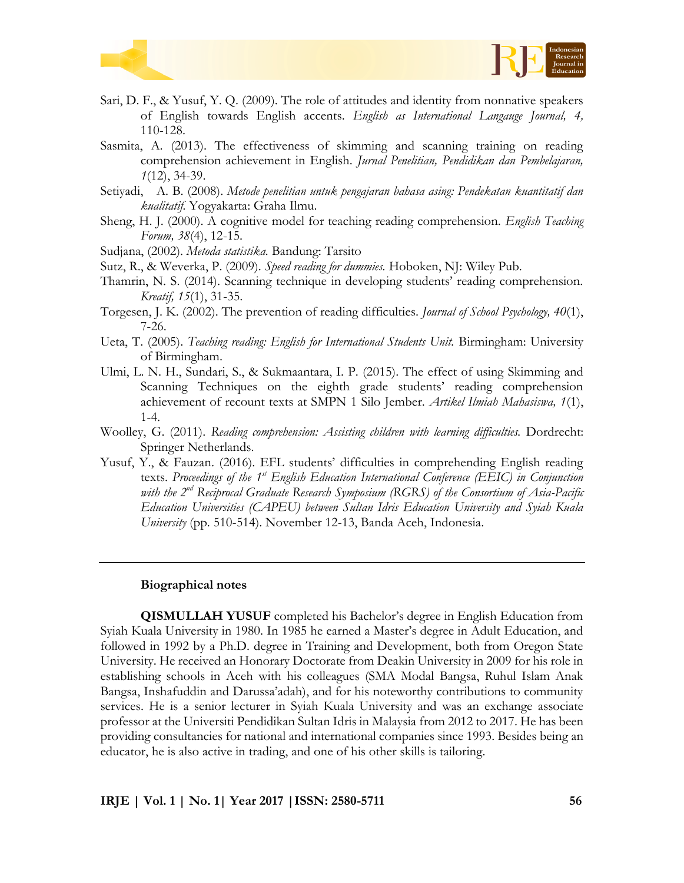



- Sari, D. F., & Yusuf, Y. Q. (2009). The role of attitudes and identity from nonnative speakers of English towards English accents. *English as International Langauge Journal, 4,* 110-128.
- Sasmita, A. (2013). The effectiveness of skimming and scanning training on reading comprehension achievement in English. *Jurnal Penelitian, Pendidikan dan Pembelajaran, 1*(12), 34-39.
- Setiyadi, A. B. (2008). *Metode penelitian untuk pengajaran bahasa asing: Pendekatan kuantitatif dan kualitatif.* Yogyakarta: Graha Ilmu.
- Sheng, H. J. (2000). A cognitive model for teaching reading comprehension. *English Teaching Forum, 38*(4), 12-15.
- Sudjana, (2002). *Metoda statistika.* Bandung: Tarsito
- Sutz, R., & Weverka, P. (2009). *Speed reading for dummies.* Hoboken, NJ: Wiley Pub.
- Thamrin, N. S. (2014). Scanning technique in developing students' reading comprehension. *Kreatif, 15*(1), 31-35.
- Torgesen, J. K. (2002). The prevention of reading difficulties. *Journal of School Psychology, 40*(1), 7-26.
- Ueta, T. (2005). *Teaching reading: English for International Students Unit.* Birmingham: University of Birmingham.
- Ulmi, L. N. H., Sundari, S., & Sukmaantara, I. P. (2015). The effect of using Skimming and Scanning Techniques on the eighth grade students' reading comprehension achievement of recount texts at SMPN 1 Silo Jember. *Artikel Ilmiah Mahasiswa, 1*(1), 1-4.
- Woolley, G. (2011). *Reading comprehension: Assisting children with learning difficulties.* Dordrecht: Springer Netherlands.
- Yusuf, Y., & Fauzan. (2016). EFL students' difficulties in comprehending English reading texts. *Proceedings of the 1st English Education International Conference (EEIC) in Conjunction with the 2nd Reciprocal Graduate Research Symposium (RGRS) of the Consortium of Asia-Pacific Education Universities (CAPEU) between Sultan Idris Education University and Syiah Kuala University* (pp. 510-514). November 12-13, Banda Aceh, Indonesia.

#### **Biographical notes**

**QISMULLAH YUSUF** completed his Bachelor's degree in English Education from Syiah Kuala University in 1980. In 1985 he earned a Master's degree in Adult Education, and followed in 1992 by a Ph.D. degree in Training and Development, both from Oregon State University. He received an Honorary Doctorate from Deakin University in 2009 for his role in establishing schools in Aceh with his colleagues (SMA Modal Bangsa, Ruhul Islam Anak Bangsa, Inshafuddin and Darussa'adah), and for his noteworthy contributions to community services. He is a senior lecturer in Syiah Kuala University and was an exchange associate professor at the Universiti Pendidikan Sultan Idris in Malaysia from 2012 to 2017. He has been providing consultancies for national and international companies since 1993. Besides being an educator, he is also active in trading, and one of his other skills is tailoring.